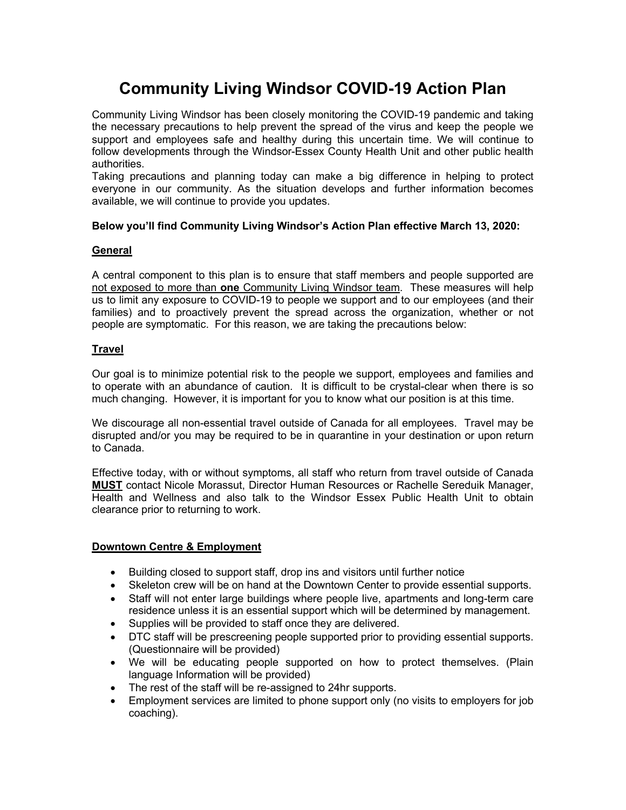# **Community Living Windsor COVID-19 Action Plan**

Community Living Windsor has been closely monitoring the COVID-19 pandemic and taking the necessary precautions to help prevent the spread of the virus and keep the people we support and employees safe and healthy during this uncertain time. We will continue to follow developments through the Windsor-Essex County Health Unit and other public health authorities.

Taking precautions and planning today can make a big difference in helping to protect everyone in our community. As the situation develops and further information becomes available, we will continue to provide you updates.

## **Below you'll find Community Living Windsor's Action Plan effective March 13, 2020:**

## **General**

A central component to this plan is to ensure that staff members and people supported are not exposed to more than **one** Community Living Windsor team. These measures will help us to limit any exposure to COVID-19 to people we support and to our employees (and their families) and to proactively prevent the spread across the organization, whether or not people are symptomatic. For this reason, we are taking the precautions below:

## **Travel**

Our goal is to minimize potential risk to the people we support, employees and families and to operate with an abundance of caution. It is difficult to be crystal-clear when there is so much changing. However, it is important for you to know what our position is at this time.

We discourage all non-essential travel outside of Canada for all employees. Travel may be disrupted and/or you may be required to be in quarantine in your destination or upon return to Canada.

Effective today, with or without symptoms, all staff who return from travel outside of Canada **MUST** contact Nicole Morassut, Director Human Resources or Rachelle Sereduik Manager, Health and Wellness and also talk to the Windsor Essex Public Health Unit to obtain clearance prior to returning to work.

#### **Downtown Centre & Employment**

- Building closed to support staff, drop ins and visitors until further notice
- Skeleton crew will be on hand at the Downtown Center to provide essential supports.
- Staff will not enter large buildings where people live, apartments and long-term care residence unless it is an essential support which will be determined by management.
- Supplies will be provided to staff once they are delivered.
- DTC staff will be prescreening people supported prior to providing essential supports. (Questionnaire will be provided)
- We will be educating people supported on how to protect themselves. (Plain language Information will be provided)
- The rest of the staff will be re-assigned to 24hr supports.
- Employment services are limited to phone support only (no visits to employers for job coaching).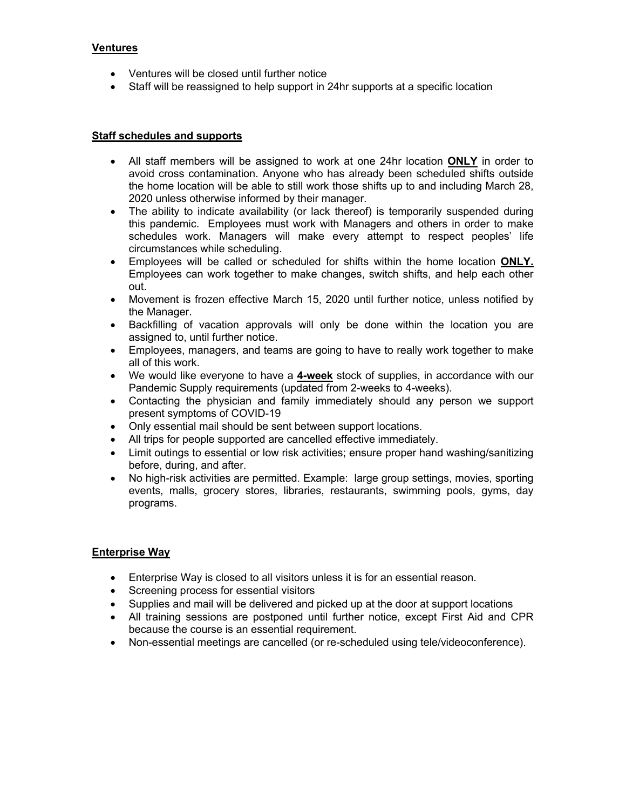## **Ventures**

- Ventures will be closed until further notice
- Staff will be reassigned to help support in 24hr supports at a specific location

#### **Staff schedules and supports**

- All staff members will be assigned to work at one 24hr location **ONLY** in order to avoid cross contamination. Anyone who has already been scheduled shifts outside the home location will be able to still work those shifts up to and including March 28, 2020 unless otherwise informed by their manager.
- The ability to indicate availability (or lack thereof) is temporarily suspended during this pandemic. Employees must work with Managers and others in order to make schedules work. Managers will make every attempt to respect peoples' life circumstances while scheduling.
- Employees will be called or scheduled for shifts within the home location **ONLY.** Employees can work together to make changes, switch shifts, and help each other out.
- Movement is frozen effective March 15, 2020 until further notice, unless notified by the Manager.
- Backfilling of vacation approvals will only be done within the location you are assigned to, until further notice.
- Employees, managers, and teams are going to have to really work together to make all of this work.
- We would like everyone to have a **4-week** stock of supplies, in accordance with our Pandemic Supply requirements (updated from 2-weeks to 4-weeks).
- Contacting the physician and family immediately should any person we support present symptoms of COVID-19
- Only essential mail should be sent between support locations.
- All trips for people supported are cancelled effective immediately.
- Limit outings to essential or low risk activities; ensure proper hand washing/sanitizing before, during, and after.
- No high-risk activities are permitted. Example: large group settings, movies, sporting events, malls, grocery stores, libraries, restaurants, swimming pools, gyms, day programs.

#### **Enterprise Way**

- Enterprise Way is closed to all visitors unless it is for an essential reason.
- Screening process for essential visitors
- Supplies and mail will be delivered and picked up at the door at support locations
- All training sessions are postponed until further notice, except First Aid and CPR because the course is an essential requirement.
- Non-essential meetings are cancelled (or re-scheduled using tele/videoconference).